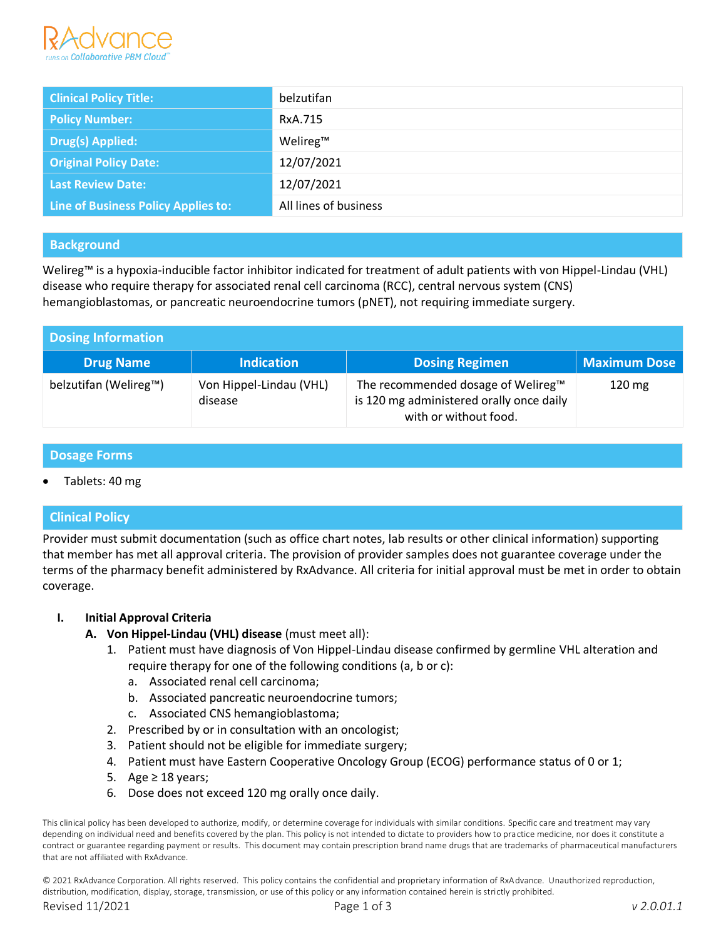

| <b>Clinical Policy Title:</b>       | belzutifan            |
|-------------------------------------|-----------------------|
| <b>Policy Number:</b>               | RxA.715               |
| <b>Drug(s) Applied:</b>             | Welireg™              |
| <b>Original Policy Date:</b>        | 12/07/2021            |
| <b>Last Review Date:</b>            | 12/07/2021            |
| Line of Business Policy Applies to: | All lines of business |

## **Background**

Welireg™ is a hypoxia-inducible factor inhibitor indicated for treatment of adult patients with von Hippel-Lindau (VHL) disease who require therapy for associated renal cell carcinoma (RCC), central nervous system (CNS) hemangioblastomas, or pancreatic neuroendocrine tumors (pNET), not requiring immediate surgery.

| Dosing Information    |                                    |                                                                                                         |                     |
|-----------------------|------------------------------------|---------------------------------------------------------------------------------------------------------|---------------------|
| <b>Drug Name</b>      | <b>Indication</b>                  | <b>Dosing Regimen</b>                                                                                   | <b>Maximum Dose</b> |
| belzutifan (Welireg™) | Von Hippel-Lindau (VHL)<br>disease | The recommended dosage of Welireg™<br>is 120 mg administered orally once daily<br>with or without food. | $120 \text{ mg}$    |

#### **Dosage Forms**

Tablets: 40 mg

## **Clinical Policy**

Provider must submit documentation (such as office chart notes, lab results or other clinical information) supporting that member has met all approval criteria. The provision of provider samples does not guarantee coverage under the terms of the pharmacy benefit administered by RxAdvance. All criteria for initial approval must be met in order to obtain coverage.

#### **I. Initial Approval Criteria**

- **A. Von Hippel-Lindau (VHL) disease** (must meet all):
	- 1. Patient must have diagnosis of Von Hippel-Lindau disease confirmed by germline VHL alteration and require therapy for one of the following conditions (a, b or c):
		- a. Associated renal cell carcinoma;
		- b. Associated pancreatic neuroendocrine tumors;
		- c. Associated CNS hemangioblastoma;
	- 2. Prescribed by or in consultation with an oncologist;
	- 3. Patient should not be eligible for immediate surgery;
	- 4. Patient must have Eastern Cooperative Oncology Group (ECOG) performance status of 0 or 1;
	- 5. Age ≥ 18 years;
	- 6. Dose does not exceed 120 mg orally once daily.

This clinical policy has been developed to authorize, modify, or determine coverage for individuals with similar conditions. Specific care and treatment may vary depending on individual need and benefits covered by the plan. This policy is not intended to dictate to providers how to practice medicine, nor does it constitute a contract or guarantee regarding payment or results. This document may contain prescription brand name drugs that are trademarks of pharmaceutical manufacturers that are not affiliated with RxAdvance.

© 2021 RxAdvance Corporation. All rights reserved. This policy contains the confidential and proprietary information of RxAdvance. Unauthorized reproduction, distribution, modification, display, storage, transmission, or use of this policy or any information contained herein is strictly prohibited.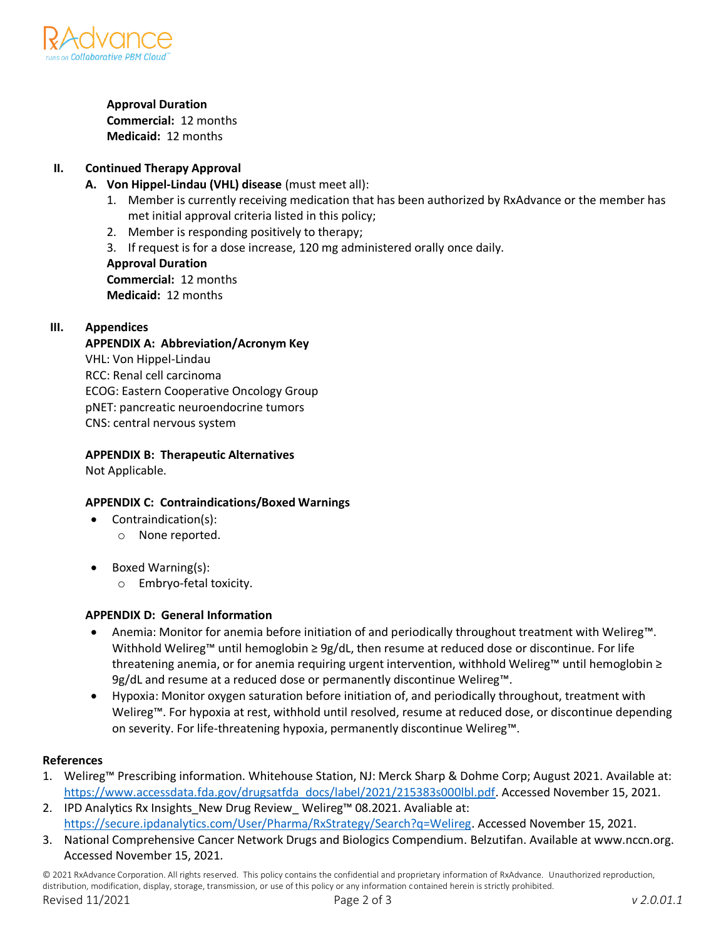

#### **Approval Duration**

**Commercial:** 12 months **Medicaid:** 12 months

# **II. Continued Therapy Approval**

- **A. Von Hippel-Lindau (VHL) disease** (must meet all):
	- 1. Member is currently receiving medication that has been authorized by RxAdvance or the member has met initial approval criteria listed in this policy;
	- 2. Member is responding positively to therapy;
	- 3. If request is for a dose increase, 120 mg administered orally once daily.

**Approval Duration Commercial:** 12 months **Medicaid:** 12 months

## **III. Appendices**

**APPENDIX A: Abbreviation/Acronym Key** VHL: Von Hippel-Lindau RCC: Renal cell carcinoma ECOG: Eastern Cooperative Oncology Group pNET: pancreatic neuroendocrine tumors CNS: central nervous system

## **APPENDIX B: Therapeutic Alternatives**

Not Applicable.

## **APPENDIX C: Contraindications/Boxed Warnings**

- Contraindication(s):
	- o None reported.
- Boxed Warning(s):
	- o Embryo-fetal toxicity.

## **APPENDIX D: General Information**

- Anemia: Monitor for anemia before initiation of and periodically throughout treatment with Welireg™. Withhold Welireg™ until hemoglobin ≥ 9g/dL, then resume at reduced dose or discontinue. For life threatening anemia, or for anemia requiring urgent intervention, withhold Welireg™ until hemoglobin ≥ 9g/dL and resume at a reduced dose or permanently discontinue Welireg™.
- Hypoxia: Monitor oxygen saturation before initiation of, and periodically throughout, treatment with Welireg™. For hypoxia at rest, withhold until resolved, resume at reduced dose, or discontinue depending on severity. For life-threatening hypoxia, permanently discontinue Welireg™.

## **References**

- 1. Welireg™ Prescribing information. Whitehouse Station, NJ: Merck Sharp & Dohme Corp; August 2021. Available at: [https://www.accessdata.fda.gov/drugsatfda\\_docs/label/2021/215383s000lbl.pdf.](https://www.accessdata.fda.gov/drugsatfda_docs/label/2021/215383s000lbl.pdf) Accessed November 15, 2021.
- 2. IPD Analytics Rx Insights\_New Drug Review\_ Welireg™ 08.2021. Avaliable at: https://secure.ipdanalytics.com/User/Pharma/RxStrategy/Search?q=Welireg. Accessed November 15, 2021.
- 3. National Comprehensive Cancer Network Drugs and Biologics Compendium. Belzutifan. Available at www.nccn.org. Accessed November 15, 2021.